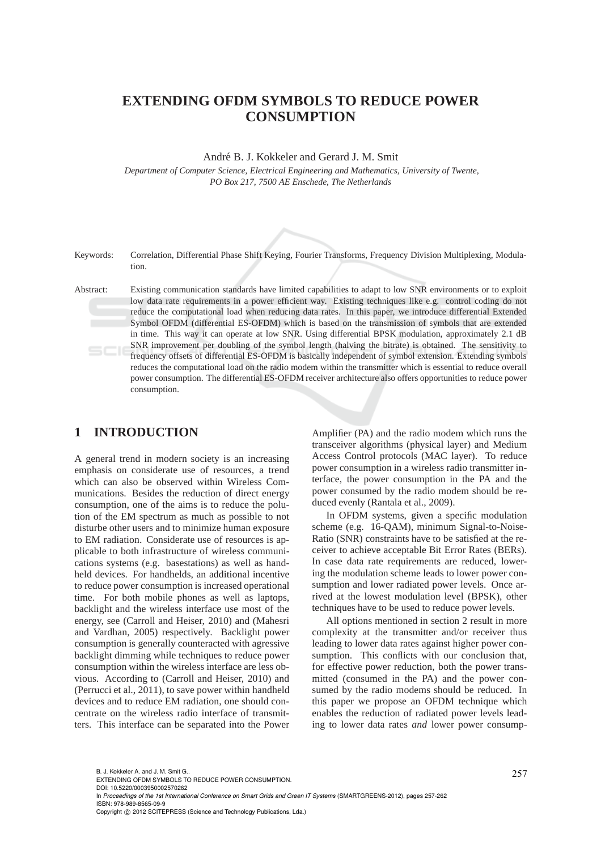# **EXTENDING OFDM SYMBOLS TO REDUCE POWER CONSUMPTION**

André B. J. Kokkeler and Gerard J. M. Smit

*Department of Computer Science, Electrical Engineering and Mathematics, University of Twente, PO Box 217, 7500 AE Enschede, The Netherlands*

#### Keywords: Correlation, Differential Phase Shift Keying, Fourier Transforms, Frequency Division Multiplexing, Modulation.

Abstract: Existing communication standards have limited capabilities to adapt to low SNR environments or to exploit low data rate requirements in a power efficient way. Existing techniques like e.g. control coding do not reduce the computational load when reducing data rates. In this paper, we introduce differential Extended Symbol OFDM (differential ES-OFDM) which is based on the transmission of symbols that are extended in time. This way it can operate at low SNR. Using differential BPSK modulation, approximately 2.1 dB SNR improvement per doubling of the symbol length (halving the bitrate) is obtained. The sensitivity to frequency offsets of differential ES-OFDM is basically independent of symbol extension. Extending symbols reduces the computational load on the radio modem within the transmitter which is essential to reduce overall power consumption. The differential ES-OFDM receiver architecture also offers opportunities to reduce power consumption.

# **1 INTRODUCTION**

A general trend in modern society is an increasing emphasis on considerate use of resources, a trend which can also be observed within Wireless Communications. Besides the reduction of direct energy consumption, one of the aims is to reduce the polution of the EM spectrum as much as possible to not disturbe other users and to minimize human exposure to EM radiation. Considerate use of resources is applicable to both infrastructure of wireless communications systems (e.g. basestations) as well as handheld devices. For handhelds, an additional incentive to reduce power consumption is increased operational time. For both mobile phones as well as laptops, backlight and the wireless interface use most of the energy, see (Carroll and Heiser, 2010) and (Mahesri and Vardhan, 2005) respectively. Backlight power consumption is generally counteracted with agressive backlight dimming while techniques to reduce power consumption within the wireless interface are less obvious. According to (Carroll and Heiser, 2010) and (Perrucci et al., 2011), to save power within handheld devices and to reduce EM radiation, one should concentrate on the wireless radio interface of transmitters. This interface can be separated into the Power

Amplifier (PA) and the radio modem which runs the transceiver algorithms (physical layer) and Medium Access Control protocols (MAC layer). To reduce power consumption in a wireless radio transmitter interface, the power consumption in the PA and the power consumed by the radio modem should be reduced evenly (Rantala et al., 2009).

In OFDM systems, given a specific modulation scheme (e.g. 16-QAM), minimum Signal-to-Noise-Ratio (SNR) constraints have to be satisfied at the receiver to achieve acceptable Bit Error Rates (BERs). In case data rate requirements are reduced, lowering the modulation scheme leads to lower power consumption and lower radiated power levels. Once arrived at the lowest modulation level (BPSK), other techniques have to be used to reduce power levels.

All options mentioned in section 2 result in more complexity at the transmitter and/or receiver thus leading to lower data rates against higher power consumption. This conflicts with our conclusion that, for effective power reduction, both the power transmitted (consumed in the PA) and the power consumed by the radio modems should be reduced. In this paper we propose an OFDM technique which enables the reduction of radiated power levels leading to lower data rates *and* lower power consump-

B. J. Kokkeler A. and J. M. Smit G..<br>EXTENDING OFDM SYMBOLS TO REDUCE POWER CONSUMPTION. DOI: 10.5220/0003950002570262

In *Proceedings of the 1st International Conference on Smart Grids and Green IT Systems* (SMARTGREENS-2012), pages 257-262 ISBN: 978-989-8565-09-9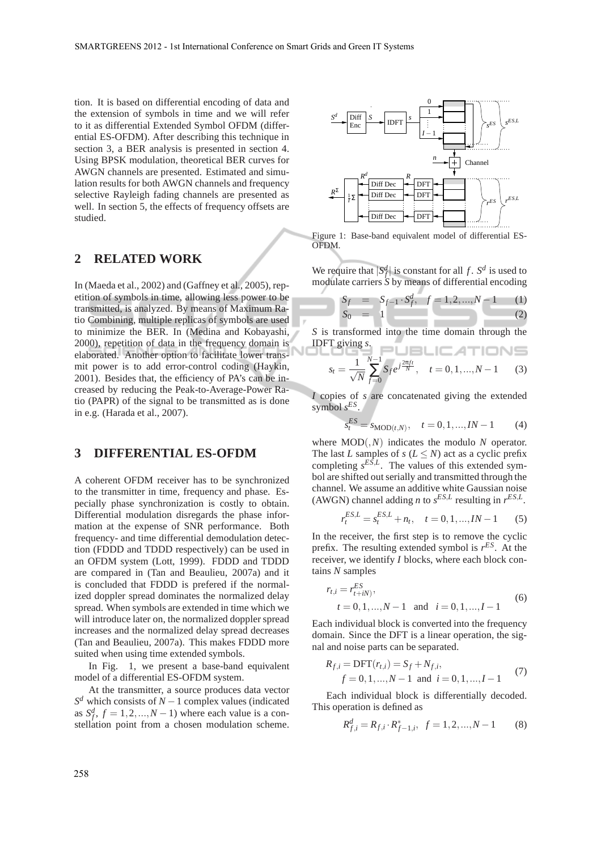tion. It is based on differential encoding of data and the extension of symbols in time and we will refer to it as differential Extended Symbol OFDM (differential ES-OFDM). After describing this technique in section 3, a BER analysis is presented in section 4. Using BPSK modulation, theoretical BER curves for AWGN channels are presented. Estimated and simulation results for both AWGN channels and frequency selective Rayleigh fading channels are presented as well. In section 5, the effects of frequency offsets are studied.

### **2 RELATED WORK**

In (Maeda et al., 2002) and (Gaffney et al., 2005), repetition of symbols in time, allowing less power to be transmitted, is analyzed. By means of Maximum Ratio Combining, multiple replicas of symbols are used to minimize the BER. In (Medina and Kobayashi, 2000), repetition of data in the frequency domain is elaborated. Another option to facilitate lower transmit power is to add error-control coding (Haykin, 2001). Besides that, the efficiency of PA's can be increased by reducing the Peak-to-Average-Power Ratio (PAPR) of the signal to be transmitted as is done in e.g. (Harada et al., 2007).

# **3 DIFFERENTIAL ES-OFDM**

A coherent OFDM receiver has to be synchronized to the transmitter in time, frequency and phase. Especially phase synchronization is costly to obtain. Differential modulation disregards the phase information at the expense of SNR performance. Both frequency- and time differential demodulation detection (FDDD and TDDD respectively) can be used in an OFDM system (Lott, 1999). FDDD and TDDD are compared in (Tan and Beaulieu, 2007a) and it is concluded that FDDD is prefered if the normalized doppler spread dominates the normalized delay spread. When symbols are extended in time which we will introduce later on, the normalized doppler spread increases and the normalized delay spread decreases (Tan and Beaulieu, 2007a). This makes FDDD more suited when using time extended symbols.

In Fig. 1, we present a base-band equivalent model of a differential ES-OFDM system.

At the transmitter, a source produces data vector  $S^d$  which consists of *N* − 1 complex values (indicated as  $S_f^d$ ,  $f = 1, 2, ..., N - 1$ ) where each value is a constellation point from a chosen modulation scheme.



Figure 1: Base-band equivalent model of differential ES-OFDM.

We require that  $|S_f^d|$  is constant for all *f*.  $S^d$  is used to modulate carriers *S* by means of differential encoding *d*

$$
S_f = S_{f-1} \cdot S_f^d, \quad f = 1, 2, ..., N - 1 \quad (1)
$$
  
\n
$$
S_0 = 1 \quad (2)
$$

*S* is transformed into the time domain through the IDFT giving  $s$ .  $\Box$   $\Box$   $\Box$   $\Box$   $\Box$   $\Box$ 

$$
s_t = \frac{1}{\sqrt{N}} \sum_{f=0}^{N-1} S_f e^{j\frac{2\pi ft}{N}}, \quad t = 0, 1, ..., N-1 \quad (3)
$$

*I* copies of *s* are concatenated giving the extended symbol *s ES* .

*s*

$$
_{t}^{ES}=s_{\text{MOD}(t,N)}, \quad t=0,1,...,IN-1 \tag{4}
$$

where MOD(,*N*) indicates the modulo *N* operator. The last *L* samples of *s* ( $L \leq N$ ) act as a cyclic prefix completing  $s^{ES,L}$ . The values of this extended symbol are shifted out serially and transmitted through the channel. We assume an additive white Gaussian noise (AWGN) channel adding *n* to  $s^{ES,L}$  resulting in  $r^{ES,L}$ .

$$
r_t^{ES,L} = s_t^{ES,L} + n_t, \quad t = 0, 1, ..., IN - 1 \tag{5}
$$

In the receiver, the first step is to remove the cyclic prefix. The resulting extended symbol is *r ES*. At the receiver, we identify *I* blocks, where each block contains *N* samples

$$
r_{t,i} = r_{t+iN}^{ES},
$$
  
\n $t = 0, 1, ..., N-1$  and  $i = 0, 1, ..., I-1$  (6)

Each individual block is converted into the frequency domain. Since the DFT is a linear operation, the signal and noise parts can be separated.

$$
R_{f,i} = \text{DFT}(r_{t,i}) = S_f + N_{f,i},
$$
  
f = 0, 1, ..., N - 1 and i = 0, 1, ..., I - 1 (7)

Each individual block is differentially decoded. This operation is defined as

$$
R_{f,i}^d = R_{f,i} \cdot R_{f-1,i}^*, \ \ f = 1, 2, ..., N - 1 \tag{8}
$$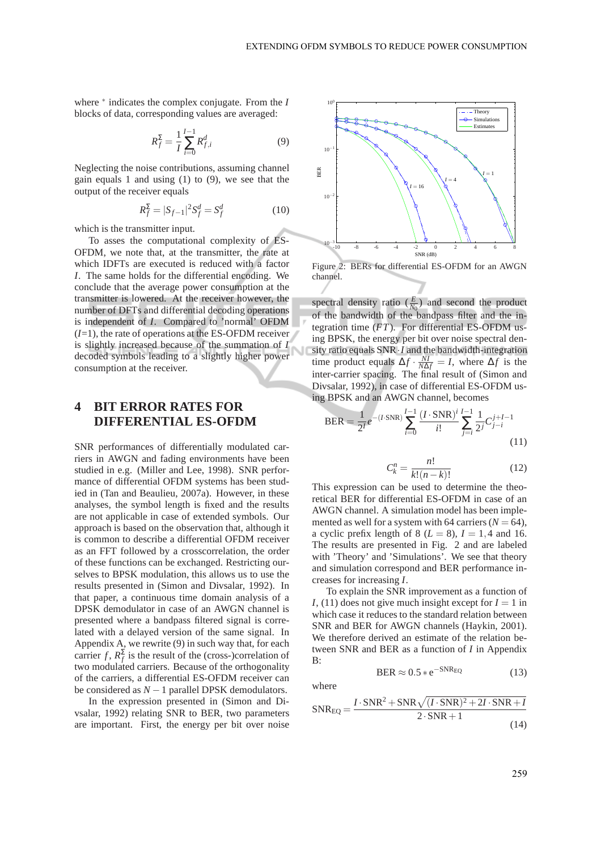where ∗ indicates the complex conjugate. From the *I* blocks of data, corresponding values are averaged:

$$
R_f^{\Sigma} = \frac{1}{I} \sum_{i=0}^{I-1} R_{f,i}^d
$$
 (9)

Neglecting the noise contributions, assuming channel gain equals 1 and using (1) to (9), we see that the output of the receiver equals

$$
R_f^{\Sigma} = |S_{f-1}|^2 S_f^d = S_f^d \tag{10}
$$

which is the transmitter input.

To asses the computational complexity of ES-OFDM, we note that, at the transmitter, the rate at which IDFTs are executed is reduced with a factor *I*. The same holds for the differential encoding. We conclude that the average power consumption at the transmitter is lowered. At the receiver however, the number of DFTs and differential decoding operations is independent of *I*. Compared to 'normal' OFDM  $(I=1)$ , the rate of operations at the ES-OFDM receiver is slightly increased because of the summation of *I* decoded symbols leading to a slightly higher power consumption at the receiver.

# **4 BIT ERROR RATES FOR DIFFERENTIAL ES-OFDM**

SNR performances of differentially modulated carriers in AWGN and fading environments have been studied in e.g. (Miller and Lee, 1998). SNR performance of differential OFDM systems has been studied in (Tan and Beaulieu, 2007a). However, in these analyses, the symbol length is fixed and the results are not applicable in case of extended symbols. Our approach is based on the observation that, although it is common to describe a differential OFDM receiver as an FFT followed by a crosscorrelation, the order of these functions can be exchanged. Restricting ourselves to BPSK modulation, this allows us to use the results presented in (Simon and Divsalar, 1992). In that paper, a continuous time domain analysis of a DPSK demodulator in case of an AWGN channel is presented where a bandpass filtered signal is correlated with a delayed version of the same signal. In Appendix A, we rewrite (9) in such way that, for each carrier *f*,  $R_f^{\Sigma}$  is the result of the (cross-)correlation of two modulated carriers. Because of the orthogonality of the carriers, a differential ES-OFDM receiver can be considered as *N* −1 parallel DPSK demodulators.

In the expression presented in (Simon and Divsalar, 1992) relating SNR to BER, two parameters are important. First, the energy per bit over noise



Figure 2: BERs for differential ES-OFDM for an AWGN channel.

spectral density ratio  $(\frac{E}{N_0})$  and second the product of the bandwidth of the bandpass filter and the integration time (*FT*). For differential ES-OFDM using BPSK, the energy per bit over noise spectral density ratio equals SNR·*I* and the bandwidth-integration time product equals  $\Delta f \cdot \frac{NI}{N\Delta f} = I$ , where  $\Delta f$  is the inter-carrier spacing. The final result of (Simon and Divsalar, 1992), in case of differential ES-OFDM using BPSK and an AWGN channel, becomes

BER = 
$$
\frac{1}{2^{I}}e^{-(I\cdot\text{SNR})}\sum_{i=0}^{I-1}\frac{(I\cdot\text{SNR})^{i}}{i!}\sum_{j=i}^{I-1}\frac{1}{2^{j}}C_{j-i}^{j+I-1}
$$
(11)

$$
C_k^n = \frac{n!}{k!(n-k)!} \tag{12}
$$

This expression can be used to determine the theoretical BER for differential ES-OFDM in case of an AWGN channel. A simulation model has been implemented as well for a system with 64 carriers  $(N = 64)$ , a cyclic prefix length of 8 ( $L = 8$ ),  $I = 1,4$  and 16. The results are presented in Fig. 2 and are labeled with 'Theory' and 'Simulations'. We see that theory and simulation correspond and BER performance increases for increasing *I*.

To explain the SNR improvement as a function of *I*, (11) does not give much insight except for  $I = 1$  in which case it reduces to the standard relation between SNR and BER for AWGN channels (Haykin, 2001). We therefore derived an estimate of the relation between SNR and BER as a function of *I* in Appendix  $\mathbf{B}$ 

where

$$
SNR_{EQ} = \frac{I \cdot SNR^2 + SNR\sqrt{(I \cdot SNR)^2 + 2I \cdot SNR + I}}{2 \cdot SNR + 1}
$$
\n(14)

 $BER \approx 0.5 * e^{-SNR_{EQ}}$  (13)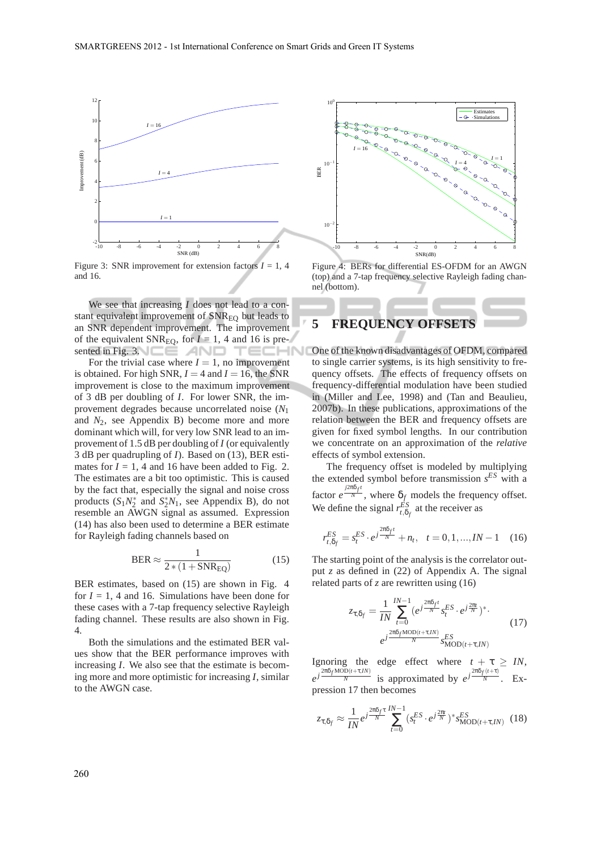

Figure 3: SNR improvement for extension factors  $I = 1, 4$ and 16.

We see that increasing *I* does not lead to a constant equivalent improvement of SNR<sub>EO</sub> but leads to an SNR dependent improvement. The improvement of the equivalent SNR<sub>EO</sub>, for  $I = 1$ , 4 and 16 is presented in Fig. 3.  $\square \equiv \triangle$   $\triangle$   $\square$ **TECHN** 

For the trivial case where  $I = 1$ , no improvement is obtained. For high SNR,  $I = 4$  and  $I = 16$ , the SNR improvement is close to the maximum improvement of 3 dB per doubling of *I*. For lower SNR, the improvement degrades because uncorrelated noise (*N*<sup>1</sup> and *N*2, see Appendix B) become more and more dominant which will, for very low SNR lead to an improvement of 1.5 dB per doubling of *I* (or equivalently 3 dB per quadrupling of *I*). Based on (13), BER estimates for  $I = 1$ , 4 and 16 have been added to Fig. 2. The estimates are a bit too optimistic. This is caused by the fact that, especially the signal and noise cross products  $(S_1N_2^*$  and  $S_2^*N_1$ , see Appendix B), do not resemble an AWGN signal as assumed. Expression (14) has also been used to determine a BER estimate for Rayleigh fading channels based on

$$
BER \approx \frac{1}{2*(1+SNR_{EQ})}
$$
 (15)

BER estimates, based on (15) are shown in Fig. 4 for  $I = 1$ , 4 and 16. Simulations have been done for these cases with a 7-tap frequency selective Rayleigh fading channel. These results are also shown in Fig. 4.

Both the simulations and the estimated BER values show that the BER performance improves with increasing *I*. We also see that the estimate is becoming more and more optimistic for increasing *I*, similar to the AWGN case.



Figure 4: BERs for differential ES-OFDM for an AWGN (top) and a 7-tap frequency selective Rayleigh fading channel (bottom).

# **5 FREQUENCY OFFSETS**

One of the known disadvantages of OFDM, compared to single carrier systems, is its high sensitivity to frequency offsets. The effects of frequency offsets on frequency-differential modulation have been studied in (Miller and Lee, 1998) and (Tan and Beaulieu, 2007b). In these publications, approximations of the relation between the BER and frequency offsets are given for fixed symbol lengths. In our contribution we concentrate on an approximation of the *relative* effects of symbol extension.

The frequency offset is modeled by multiplying the extended symbol before transmission *s ES* with a factor  $e^{\frac{j2\pi\delta_f t}{N}}$ , where  $\delta_f$  models the frequency offset. We define the signal  $r_{t,\delta_f}^{ES}$  at the receiver as

$$
r_{t,\delta_f}^{ES} = s_t^{ES} \cdot e^{j\frac{2\pi\delta_f t}{N}} + n_t, \quad t = 0, 1, ..., IN - 1 \quad (16)
$$

The starting point of the analysis is the correlator output *z* as defined in (22) of Appendix A. The signal related parts of *z* are rewritten using (16)

$$
z_{\tau,\delta_f} = \frac{1}{IN} \sum_{t=0}^{IN-1} (e^{j\frac{2\pi\delta_f t}{N}} s_t^{ES} \cdot e^{j\frac{2\pi t}{N}})^*.
$$
  

$$
e^{j\frac{2\pi\delta_f \text{MOD}(t+\tau, IN)}{N}} s_{\text{MOD}(t+\tau, IN)}^{ES}
$$
 (17)

Ignoring the edge effect where  $t + \tau \geq IN$ ,  $e^{j\frac{2\pi\delta_f\text{MOD}(t+\tau,IN)}{N}}$  $\frac{D(t+\tau, IN)}{N}$  is approximated by  $e^{j\frac{2\pi\delta_f(t+\tau)}{N}}$ . Expression 17 then becomes

$$
z_{\tau,\delta_f} \approx \frac{1}{IN} e^{j\frac{2\pi\delta_f\tau}{N}} \sum_{t=0}^{IN-1} (s_t^{ES} \cdot e^{j\frac{2\pi t}{N}})^* s_{\text{MOD}(t+\tau,IN)}^{ES}
$$
 (18)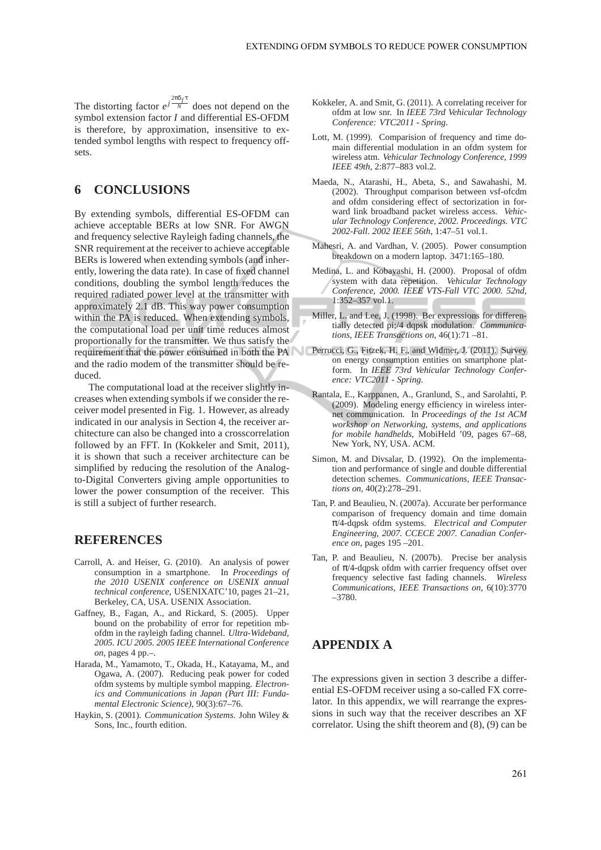The distorting factor  $e^{j\frac{2\pi\delta_f\tau}{N}}$  does not depend on the symbol extension factor *I* and differential ES-OFDM is therefore, by approximation, insensitive to extended symbol lengths with respect to frequency offsets.

## **6 CONCLUSIONS**

By extending symbols, differential ES-OFDM can achieve acceptable BERs at low SNR. For AWGN and frequency selective Rayleigh fading channels, the SNR requirement at the receiver to achieve acceptable BERs is lowered when extending symbols (and inherently, lowering the data rate). In case of fixed channel conditions, doubling the symbol length reduces the required radiated power level at the transmitter with approximately 2.1 dB. This way power consumption within the PA is reduced. When extending symbols, the computational load per unit time reduces almost proportionally for the transmitter. We thus satisfy the requirement that the power consumed in both the PA Perrucci, G., Fitzek, H. F., and Widmer, J. (2011). Survey and the radio modem of the transmitter should be reduced.

The computational load at the receiver slightly increases when extending symbols if we consider the receiver model presented in Fig. 1. However, as already indicated in our analysis in Section 4, the receiver architecture can also be changed into a crosscorrelation followed by an FFT. In (Kokkeler and Smit, 2011), it is shown that such a receiver architecture can be simplified by reducing the resolution of the Analogto-Digital Converters giving ample opportunities to lower the power consumption of the receiver. This is still a subject of further research.

# **REFERENCES**

- Carroll, A. and Heiser, G. (2010). An analysis of power consumption in a smartphone. In *Proceedings of the 2010 USENIX conference on USENIX annual technical conference*, USENIXATC'10, pages 21–21, Berkeley, CA, USA. USENIX Association.
- Gaffney, B., Fagan, A., and Rickard, S. (2005). Upper bound on the probability of error for repetition mbofdm in the rayleigh fading channel. *Ultra-Wideband, 2005. ICU 2005. 2005 IEEE International Conference on*, pages 4 pp.–.
- Harada, M., Yamamoto, T., Okada, H., Katayama, M., and Ogawa, A. (2007). Reducing peak power for coded ofdm systems by multiple symbol mapping. *Electronics and Communications in Japan (Part III: Fundamental Electronic Science)*, 90(3):67–76.
- Haykin, S. (2001). *Communication Systems*. John Wiley & Sons, Inc., fourth edition.
- Kokkeler, A. and Smit, G. (2011). A correlating receiver for ofdm at low snr. In *IEEE 73rd Vehicular Technology Conference: VTC2011 - Spring*.
- Lott, M. (1999). Comparision of frequency and time domain differential modulation in an ofdm system for wireless atm. *Vehicular Technology Conference, 1999 IEEE 49th*, 2:877–883 vol.2.
- Maeda, N., Atarashi, H., Abeta, S., and Sawahashi, M. (2002). Throughput comparison between vsf-ofcdm and ofdm considering effect of sectorization in forward link broadband packet wireless access. *Vehicular Technology Conference, 2002. Proceedings. VTC 2002-Fall. 2002 IEEE 56th*, 1:47–51 vol.1.
- Mahesri, A. and Vardhan, V. (2005). Power consumption breakdown on a modern laptop. 3471:165–180.
- Medina, L. and Kobayashi, H. (2000). Proposal of ofdm system with data repetition. *Vehicular Technology Conference, 2000. IEEE VTS-Fall VTC 2000. 52nd*, 1:352–357 vol.1.
- Miller, L. and Lee, J. (1998). Ber expressions for differentially detected pi;/4 dqpsk modulation. *Communications, IEEE Transactions on*, 46(1):71 –81.
- on energy consumption entities on smartphone platform. In *IEEE 73rd Vehicular Technology Conference: VTC2011 - Spring*.
- Rantala, E., Karppanen, A., Granlund, S., and Sarolahti, P. (2009). Modeling energy efficiency in wireless internet communication. In *Proceedings of the 1st ACM workshop on Networking, systems, and applications for mobile handhelds*, MobiHeld '09, pages 67–68, New York, NY, USA. ACM.
- Simon, M. and Divsalar, D. (1992). On the implementation and performance of single and double differential detection schemes. *Communications, IEEE Transactions on*, 40(2):278–291.
- Tan, P. and Beaulieu, N. (2007a). Accurate ber performance comparison of frequency domain and time domain π/4-dqpsk ofdm systems. *Electrical and Computer Engineering, 2007. CCECE 2007. Canadian Conference on*, pages 195 –201.
- Tan, P. and Beaulieu, N. (2007b). Precise ber analysis of  $\pi$ /4-dqpsk ofdm with carrier frequency offset over frequency selective fast fading channels. *Wireless Communications, IEEE Transactions on*, 6(10):3770 –3780.

## **APPENDIX A**

The expressions given in section 3 describe a differential ES-OFDM receiver using a so-called FX correlator. In this appendix, we will rearrange the expressions in such way that the receiver describes an XF correlator. Using the shift theorem and (8), (9) can be